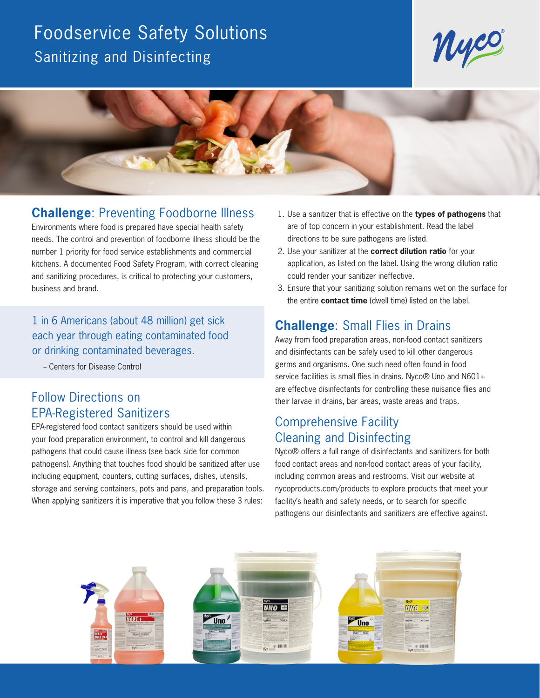# Foodservice Safety Solutions Sanitizing and Disinfecting

Myco



#### **Challenge**: Preventing Foodborne Illness

Environments where food is prepared have special health safety needs. The control and prevention of foodborne illness should be the number 1 priority for food service establishments and commercial kitchens. A documented Food Safety Program, with correct cleaning and sanitizing procedures, is critical to protecting your customers, business and brand.

1 in 6 Americans (about 48 million) get sick each year through eating contaminated food or drinking contaminated beverages.

-- Centers for Disease Control

# Follow Directions on EPA-Registered Sanitizers

EPA-registered food contact sanitizers should be used within your food preparation environment, to control and kill dangerous pathogens that could cause illness (see back side for common pathogens). Anything that touches food should be sanitized after use including equipment, counters, cutting surfaces, dishes, utensils, storage and serving containers, pots and pans, and preparation tools. When applying sanitizers it is imperative that you follow these 3 rules:

- 1. Use a sanitizer that is effective on the **types of pathogens** that are of top concern in your establishment. Read the label directions to be sure pathogens are listed.
- 2. Use your sanitizer at the **correct dilution ratio** for your application, as listed on the label. Using the wrong dilution ratio could render your sanitizer ineffective.
- 3. Ensure that your sanitizing solution remains wet on the surface for the entire **contact time** (dwell time) listed on the label.

### **Challenge**: Small Flies in Drains

Away from food preparation areas, non-food contact sanitizers and disinfectants can be safely used to kill other dangerous germs and organisms. One such need often found in food service facilities is small flies in drains. Nyco® Uno and N601+ are effective disinfectants for controlling these nuisance flies and their larvae in drains, bar areas, waste areas and traps.

# Comprehensive Facility Cleaning and Disinfecting

Nyco® offers a full range of disinfectants and sanitizers for both food contact areas and non-food contact areas of your facility, including common areas and restrooms. Visit our website at nycoproducts.com/products to explore products that meet your facility's health and safety needs, or to search for specific pathogens our disinfectants and sanitizers are effective against.